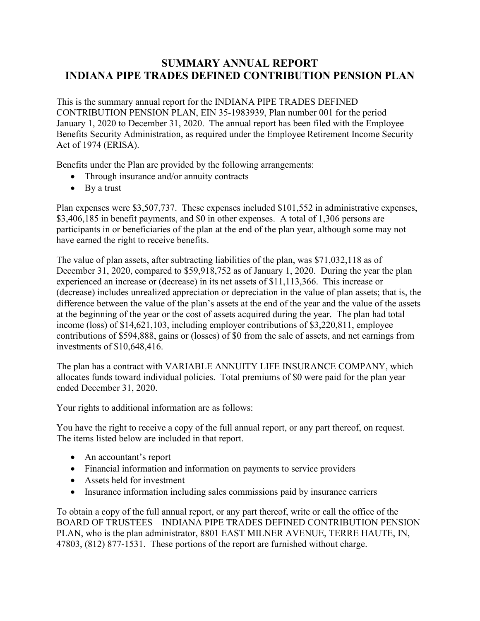## **SUMMARY ANNUAL REPORT INDIANA PIPE TRADES DEFINED CONTRIBUTION PENSION PLAN**

This is the summary annual report for the INDIANA PIPE TRADES DEFINED CONTRIBUTION PENSION PLAN, EIN 35-1983939, Plan number 001 for the period January 1, 2020 to December 31, 2020. The annual report has been filed with the Employee Benefits Security Administration, as required under the Employee Retirement Income Security Act of 1974 (ERISA).

Benefits under the Plan are provided by the following arrangements:

- Through insurance and/or annuity contracts
- By a trust

Plan expenses were \$3,507,737. These expenses included \$101,552 in administrative expenses, \$3,406,185 in benefit payments, and \$0 in other expenses. A total of 1,306 persons are participants in or beneficiaries of the plan at the end of the plan year, although some may not have earned the right to receive benefits.

The value of plan assets, after subtracting liabilities of the plan, was \$71,032,118 as of December 31, 2020, compared to \$59,918,752 as of January 1, 2020. During the year the plan experienced an increase or (decrease) in its net assets of \$11,113,366. This increase or (decrease) includes unrealized appreciation or depreciation in the value of plan assets; that is, the difference between the value of the plan's assets at the end of the year and the value of the assets at the beginning of the year or the cost of assets acquired during the year. The plan had total income (loss) of \$14,621,103, including employer contributions of \$3,220,811, employee contributions of \$594,888, gains or (losses) of \$0 from the sale of assets, and net earnings from investments of \$10,648,416.

The plan has a contract with VARIABLE ANNUITY LIFE INSURANCE COMPANY, which allocates funds toward individual policies. Total premiums of \$0 were paid for the plan year ended December 31, 2020.

Your rights to additional information are as follows:

You have the right to receive a copy of the full annual report, or any part thereof, on request. The items listed below are included in that report.

- An accountant's report
- Financial information and information on payments to service providers
- Assets held for investment
- Insurance information including sales commissions paid by insurance carriers

To obtain a copy of the full annual report, or any part thereof, write or call the office of the BOARD OF TRUSTEES – INDIANA PIPE TRADES DEFINED CONTRIBUTION PENSION PLAN, who is the plan administrator, 8801 EAST MILNER AVENUE, TERRE HAUTE, IN, 47803, (812) 877-1531. These portions of the report are furnished without charge.